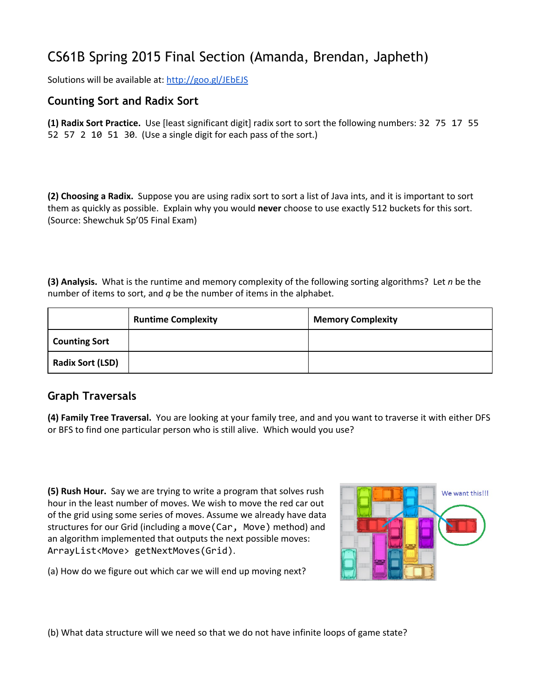## CS61B Spring 2015 Final Section (Amanda, Brendan, Japheth)

Solutions will be available at: <http://goo.gl/JEbEJS>

## **Counting Sort and Radix Sort**

**(1) Radix Sort Practice.**Use [least significant digit] radix sort to sort the following numbers: 32751755 52 57 2 10 51 30. (Use a single digit for each pass of the sort.)

**(2) Choosing a Radix.**Suppose you are using radix sort to sort a list of Java ints, and it is important to sort them as quickly as possible. Explain why you would **never**choose to use exactly 512 buckets for this sort. (Source: Shewchuk Sp'05 Final Exam)

**(3) Analysis.**What is the runtime and memory complexity of the following sorting algorithms? Let *n* be the number of items to sort, and *q* be the number of items in the alphabet.

|                         | <b>Runtime Complexity</b> | <b>Memory Complexity</b> |
|-------------------------|---------------------------|--------------------------|
| <b>Counting Sort</b>    |                           |                          |
| <b>Radix Sort (LSD)</b> |                           |                          |

## **Graph Traversals**

**(4) Family Tree Traversal.** You are looking at your family tree, and and you want to traverse it with either DFS or BFS to find one particular person who is still alive. Which would you use?

**(5) Rush Hour.** Say we are trying to write a program that solves rush hour in the least number of moves. We wish to move the red car out of the grid using some series of moves. Assume we already have data structures for our Grid (including a move (Car, Move) method) and an algorithm implemented that outputs the next possible moves: ArrayList<Move> getNextMoves(Grid).



(a) How do we figure out which car we will end up moving next?

(b) What data structure will we need so that we do not have infinite loops of game state?